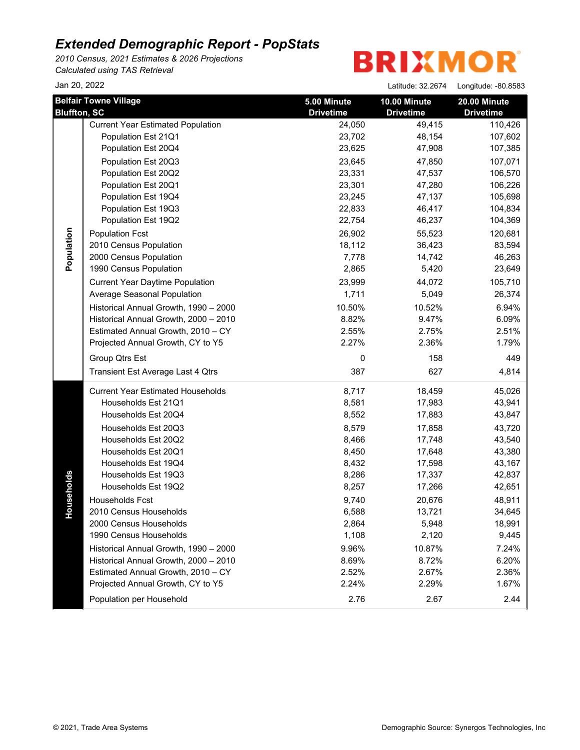*2010 Census, 2021 Estimates & 2026 Projections Calculated using TAS Retrieval*

**BRIXMOR** 

Jan 20, 2022 Latitude: 32.2674 Longitude: -80.8583

| <b>Bluffton, SC</b> | <b>Belfair Towne Village</b>             | 5.00 Minute<br><b>Drivetime</b> | 10.00 Minute<br><b>Drivetime</b> | 20.00 Minute<br><b>Drivetime</b> |
|---------------------|------------------------------------------|---------------------------------|----------------------------------|----------------------------------|
|                     | <b>Current Year Estimated Population</b> | 24,050                          | 49,415                           | 110,426                          |
|                     | Population Est 21Q1                      | 23,702                          | 48,154                           | 107,602                          |
|                     | Population Est 20Q4                      | 23,625                          | 47,908                           | 107,385                          |
|                     | Population Est 20Q3                      | 23,645                          | 47,850                           | 107,071                          |
|                     | Population Est 20Q2                      | 23,331                          | 47,537                           | 106,570                          |
|                     | Population Est 20Q1                      | 23,301                          | 47,280                           | 106,226                          |
|                     | Population Est 19Q4                      | 23,245                          | 47,137                           | 105,698                          |
|                     | Population Est 19Q3                      | 22,833                          | 46,417                           | 104,834                          |
|                     | Population Est 19Q2                      | 22,754                          | 46,237                           | 104,369                          |
|                     | <b>Population Fcst</b>                   | 26,902                          | 55,523                           | 120,681                          |
| Population          | 2010 Census Population                   | 18,112                          | 36,423                           | 83,594                           |
|                     | 2000 Census Population                   | 7,778                           | 14,742                           | 46,263                           |
|                     | 1990 Census Population                   | 2,865                           | 5,420                            | 23,649                           |
|                     | <b>Current Year Daytime Population</b>   | 23,999                          | 44,072                           | 105,710                          |
|                     | Average Seasonal Population              | 1,711                           | 5,049                            | 26,374                           |
|                     | Historical Annual Growth, 1990 - 2000    | 10.50%                          | 10.52%                           | 6.94%                            |
|                     | Historical Annual Growth, 2000 - 2010    | 8.82%                           | 9.47%                            | 6.09%                            |
|                     | Estimated Annual Growth, 2010 - CY       | 2.55%                           | 2.75%                            | 2.51%                            |
|                     | Projected Annual Growth, CY to Y5        | 2.27%                           | 2.36%                            | 1.79%                            |
|                     | Group Qtrs Est                           | $\Omega$                        | 158                              | 449                              |
|                     | Transient Est Average Last 4 Qtrs        | 387                             | 627                              | 4,814                            |
|                     | <b>Current Year Estimated Households</b> | 8,717                           | 18,459                           | 45,026                           |
|                     | Households Est 21Q1                      | 8,581                           | 17,983                           | 43,941                           |
|                     | Households Est 20Q4                      | 8,552                           | 17,883                           | 43,847                           |
|                     | Households Est 20Q3                      | 8,579                           | 17,858                           | 43,720                           |
|                     | Households Est 20Q2                      | 8,466                           | 17,748                           | 43,540                           |
|                     | Households Est 20Q1                      | 8,450                           | 17,648                           | 43,380                           |
|                     | Households Est 19Q4                      | 8,432                           | 17,598                           | 43,167                           |
|                     | Households Est 19Q3                      | 8,286                           | 17,337                           | 42,837                           |
| ouseholds           | Households Est 19Q2                      | 8,257                           | 17,266                           | 42,651                           |
|                     | Households Fcst                          | 9,740                           | 20,676                           | 48,911                           |
| ᅩ                   | 2010 Census Households                   | 6,588                           | 13,721                           | 34,645                           |
|                     | 2000 Census Households                   | 2,864                           | 5,948                            | 18,991                           |
|                     | 1990 Census Households                   | 1,108                           | 2,120                            | 9,445                            |
|                     | Historical Annual Growth, 1990 - 2000    | 9.96%                           | 10.87%                           | 7.24%                            |
|                     | Historical Annual Growth, 2000 - 2010    | 8.69%                           | 8.72%                            | 6.20%                            |
|                     | Estimated Annual Growth, 2010 - CY       | 2.52%                           | 2.67%                            | 2.36%                            |
|                     | Projected Annual Growth, CY to Y5        | 2.24%                           | 2.29%                            | 1.67%                            |
|                     | Population per Household                 | 2.76                            | 2.67                             | 2.44                             |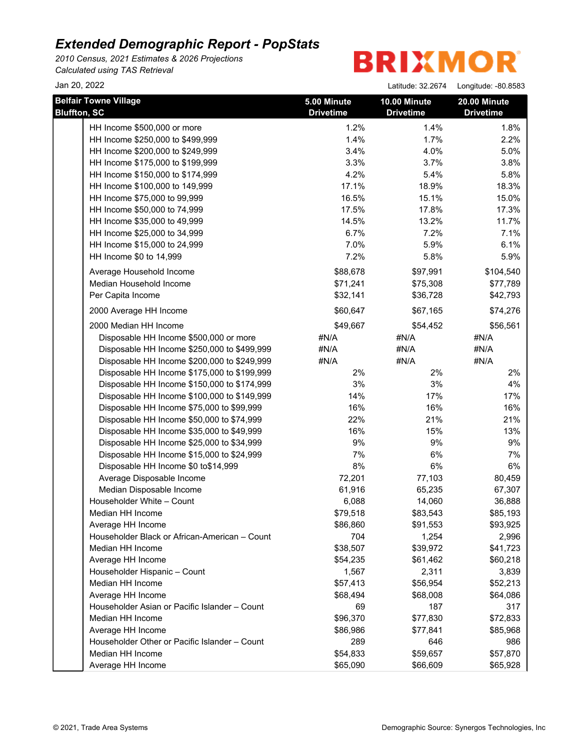*2010 Census, 2021 Estimates & 2026 Projections Calculated using TAS Retrieval*

**BRIXMOR** 

Jan 20, 2022 Latitude: 32.2674 Longitude: -80.8583

| <b>Belfair Towne Village</b>                                       | 5.00 Minute      | 10.00 Minute     | 20.00 Minute     |
|--------------------------------------------------------------------|------------------|------------------|------------------|
| <b>Bluffton, SC</b>                                                | <b>Drivetime</b> | <b>Drivetime</b> | <b>Drivetime</b> |
| HH Income \$500,000 or more                                        | 1.2%             | 1.4%             | 1.8%             |
| HH Income \$250,000 to \$499,999                                   | 1.4%             | 1.7%             | 2.2%             |
| HH Income \$200,000 to \$249,999                                   | 3.4%             | 4.0%             | 5.0%             |
| HH Income \$175,000 to \$199,999                                   | 3.3%             | 3.7%             | 3.8%             |
| HH Income \$150,000 to \$174,999                                   | 4.2%             | 5.4%             | 5.8%             |
| HH Income \$100,000 to 149,999                                     | 17.1%            | 18.9%            | 18.3%            |
| HH Income \$75,000 to 99,999                                       | 16.5%            | 15.1%            | 15.0%            |
| HH Income \$50,000 to 74,999                                       | 17.5%            | 17.8%            | 17.3%            |
| HH Income \$35,000 to 49,999                                       | 14.5%            | 13.2%            | 11.7%            |
| HH Income \$25,000 to 34,999                                       | 6.7%             | 7.2%             | 7.1%             |
| HH Income \$15,000 to 24,999                                       | 7.0%             | 5.9%             | 6.1%             |
| HH Income \$0 to 14,999                                            | 7.2%             | 5.8%             | 5.9%             |
| Average Household Income                                           | \$88,678         | \$97,991         | \$104,540        |
| Median Household Income                                            | \$71,241         | \$75,308         | \$77,789         |
| Per Capita Income                                                  | \$32,141         | \$36,728         | \$42,793         |
| 2000 Average HH Income                                             | \$60,647         | \$67,165         | \$74,276         |
| 2000 Median HH Income                                              | \$49,667         | \$54,452         | \$56,561         |
| Disposable HH Income \$500,000 or more                             | #N/A             | #N/A             | #N/A             |
| Disposable HH Income \$250,000 to \$499,999                        | #N/A             | #N/A             | #N/A             |
| Disposable HH Income \$200,000 to \$249,999                        | #N/A             | #N/A             | #N/A             |
| Disposable HH Income \$175,000 to \$199,999                        | 2%               | 2%               | 2%               |
| Disposable HH Income \$150,000 to \$174,999                        | 3%               | 3%               | 4%               |
| Disposable HH Income \$100,000 to \$149,999                        | 14%              | 17%              | 17%              |
| Disposable HH Income \$75,000 to \$99,999                          | 16%              | 16%              | 16%              |
| Disposable HH Income \$50,000 to \$74,999                          | 22%              | 21%              | 21%              |
| Disposable HH Income \$35,000 to \$49,999                          | 16%              | 15%              | 13%              |
| Disposable HH Income \$25,000 to \$34,999                          | 9%               | 9%               | 9%               |
| Disposable HH Income \$15,000 to \$24,999                          | 7%               | 6%               | 7%               |
| Disposable HH Income \$0 to\$14,999                                | 8%               | 6%               | 6%               |
| Average Disposable Income                                          | 72,201           | 77,103           | 80,459           |
| Median Disposable Income                                           | 61,916           | 65,235           | 67,307           |
| Householder White - Count                                          | 6,088            | 14,060           | 36,888           |
| Median HH Income                                                   | \$79,518         | \$83,543         | \$85,193         |
| Average HH Income                                                  | \$86,860         | \$91,553         | \$93,925         |
| Householder Black or African-American - Count                      | 704              | 1,254            | 2,996            |
| Median HH Income                                                   | \$38,507         | \$39,972         | \$41,723         |
| Average HH Income                                                  | \$54,235         | \$61,462         | \$60,218         |
| Householder Hispanic - Count                                       | 1,567            | 2,311            | 3,839            |
| Median HH Income                                                   | \$57,413         | \$56,954         | \$52,213         |
| Average HH Income<br>Householder Asian or Pacific Islander - Count | \$68,494<br>69   | \$68,008<br>187  | \$64,086<br>317  |
|                                                                    |                  |                  |                  |
| Median HH Income                                                   | \$96,370         | \$77,830         | \$72,833         |
| Average HH Income                                                  | \$86,986         | \$77,841         | \$85,968         |
| Householder Other or Pacific Islander - Count                      | 289              | 646              | 986              |
| Median HH Income                                                   | \$54,833         | \$59,657         | \$57,870         |
| Average HH Income                                                  | \$65,090         | \$66,609         | \$65,928         |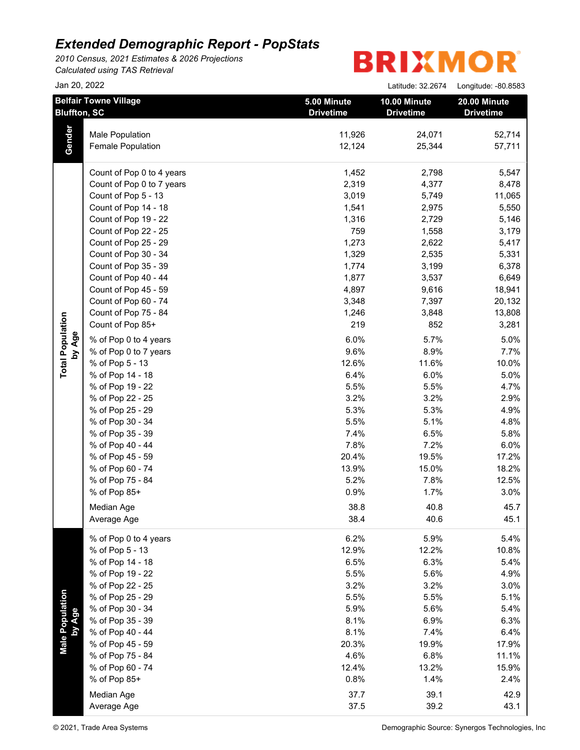*2010 Census, 2021 Estimates & 2026 Projections Calculated using TAS Retrieval*

|                           | Jan 20, 2022                                        |                                 | Latitude: 32.2674                | Longitude: -80.8583              |
|---------------------------|-----------------------------------------------------|---------------------------------|----------------------------------|----------------------------------|
|                           | <b>Belfair Towne Village</b><br><b>Bluffton, SC</b> | 5.00 Minute<br><b>Drivetime</b> | 10.00 Minute<br><b>Drivetime</b> | 20.00 Minute<br><b>Drivetime</b> |
|                           | Male Population                                     | 11,926                          | 24,071                           | 52,714                           |
| Gender                    | Female Population                                   | 12,124                          | 25,344                           | 57,711                           |
|                           | Count of Pop 0 to 4 years                           | 1,452                           | 2,798                            | 5,547                            |
|                           | Count of Pop 0 to 7 years                           | 2,319                           | 4,377                            | 8,478                            |
|                           | Count of Pop 5 - 13                                 | 3,019                           | 5,749                            | 11,065                           |
|                           | Count of Pop 14 - 18                                | 1,541                           | 2,975                            | 5,550                            |
|                           | Count of Pop 19 - 22                                | 1,316                           | 2,729                            | 5,146                            |
|                           | Count of Pop 22 - 25                                | 759                             | 1,558                            | 3,179                            |
|                           | Count of Pop 25 - 29                                | 1,273                           | 2,622                            | 5,417                            |
|                           | Count of Pop 30 - 34                                | 1,329                           | 2,535                            | 5,331                            |
|                           | Count of Pop 35 - 39                                | 1,774                           | 3,199                            | 6,378                            |
|                           | Count of Pop 40 - 44                                | 1,877                           | 3,537                            | 6,649                            |
|                           | Count of Pop 45 - 59                                | 4,897                           | 9,616                            | 18,941                           |
|                           | Count of Pop 60 - 74                                | 3,348                           | 7,397                            | 20,132                           |
|                           | Count of Pop 75 - 84                                | 1,246                           | 3,848                            | 13,808                           |
|                           | Count of Pop 85+                                    | 219                             | 852                              | 3,281                            |
| by Age                    | % of Pop 0 to 4 years                               | 6.0%                            | 5.7%                             | 5.0%                             |
|                           | % of Pop 0 to 7 years                               | 9.6%                            | 8.9%                             | 7.7%                             |
|                           | % of Pop 5 - 13                                     | 12.6%                           | 11.6%                            | 10.0%                            |
|                           | % of Pop 14 - 18                                    | 6.4%                            | 6.0%                             | 5.0%                             |
|                           | % of Pop 19 - 22                                    | 5.5%                            | 5.5%                             | 4.7%                             |
|                           | % of Pop 22 - 25                                    | 3.2%                            | 3.2%                             | 2.9%                             |
|                           | % of Pop 25 - 29                                    | 5.3%                            | 5.3%                             | 4.9%                             |
|                           | % of Pop 30 - 34                                    | 5.5%                            | 5.1%                             | 4.8%                             |
|                           | % of Pop 35 - 39                                    | 7.4%                            | 6.5%                             | 5.8%                             |
|                           | % of Pop 40 - 44                                    | 7.8%                            | 7.2%                             | 6.0%                             |
|                           | % of Pop 45 - 59                                    | 20.4%                           | 19.5%                            | 17.2%                            |
|                           | % of Pop 60 - 74                                    | 13.9%                           | 15.0%                            | 18.2%                            |
|                           | % of Pop 75 - 84                                    | 5.2%                            | 7.8%                             | 12.5%                            |
|                           | % of Pop 85+                                        | 0.9%                            | 1.7%                             | 3.0%                             |
|                           | Median Age                                          | 38.8                            | 40.8                             | 45.7                             |
|                           | Average Age                                         | 38.4                            | 40.6                             | 45.1                             |
|                           | % of Pop 0 to 4 years                               | 6.2%                            | 5.9%                             | 5.4%                             |
|                           | % of Pop 5 - 13                                     | 12.9%                           | 12.2%                            | 10.8%                            |
|                           | % of Pop 14 - 18                                    | 6.5%                            | 6.3%                             | 5.4%                             |
|                           | % of Pop 19 - 22                                    | 5.5%                            | 5.6%                             | 4.9%                             |
|                           | % of Pop 22 - 25                                    | 3.2%                            | 3.2%                             | 3.0%                             |
|                           | % of Pop 25 - 29                                    | 5.5%                            | 5.5%                             | 5.1%                             |
|                           | % of Pop 30 - 34                                    | 5.9%                            | 5.6%                             | 5.4%                             |
|                           | % of Pop 35 - 39                                    | 8.1%                            | 6.9%                             | 6.3%                             |
|                           | % of Pop 40 - 44                                    | 8.1%                            | 7.4%                             | 6.4%                             |
| Male Population<br>by Age | % of Pop 45 - 59                                    | 20.3%                           | 19.9%                            | 17.9%                            |
|                           | % of Pop 75 - 84                                    | 4.6%                            | 6.8%                             | 11.1%                            |
|                           | % of Pop 60 - 74                                    | 12.4%                           | 13.2%                            | 15.9%                            |
|                           | % of Pop 85+                                        | 0.8%                            | 1.4%                             | 2.4%                             |
|                           | Median Age                                          | 37.7                            | 39.1                             | 42.9                             |
|                           | Average Age                                         | 37.5                            | 39.2                             | 43.1                             |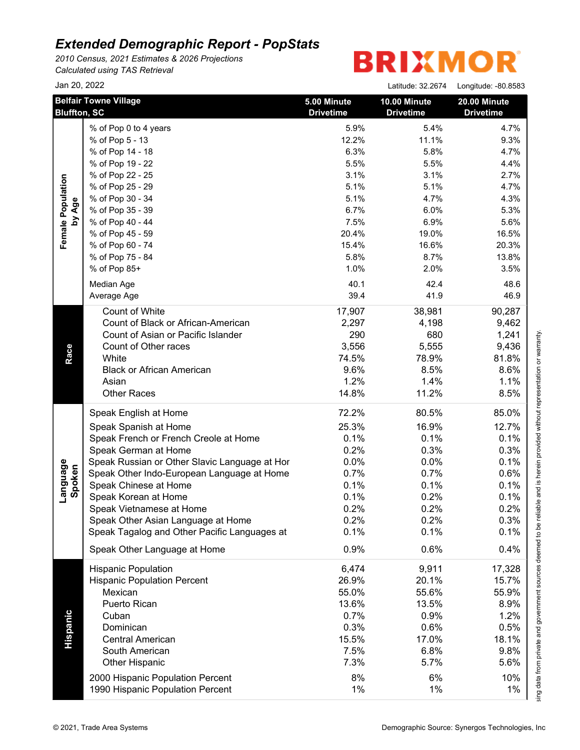*2010 Census, 2021 Estimates & 2026 Projections Calculated using TAS Retrieval*

|                    | Jan 20, 2022                                        |                                 | Latitude: 32.2674                | Longitude: -80.8583              |
|--------------------|-----------------------------------------------------|---------------------------------|----------------------------------|----------------------------------|
|                    | <b>Belfair Towne Village</b><br><b>Bluffton, SC</b> | 5.00 Minute<br><b>Drivetime</b> | 10.00 Minute<br><b>Drivetime</b> | 20.00 Minute<br><b>Drivetime</b> |
|                    | % of Pop 0 to 4 years                               | 5.9%                            | 5.4%                             | 4.7%                             |
|                    | % of Pop 5 - 13                                     | 12.2%                           | 11.1%                            | 9.3%                             |
|                    | % of Pop 14 - 18                                    | 6.3%                            | 5.8%                             | 4.7%                             |
|                    | % of Pop 19 - 22                                    | 5.5%                            | 5.5%                             | 4.4%                             |
|                    | % of Pop 22 - 25                                    | 3.1%                            | 3.1%                             | 2.7%                             |
|                    | % of Pop 25 - 29                                    | 5.1%                            | 5.1%                             | 4.7%                             |
|                    | % of Pop 30 - 34                                    | 5.1%                            | 4.7%                             | 4.3%                             |
| by Age             | % of Pop 35 - 39                                    | 6.7%                            | 6.0%                             | 5.3%                             |
|                    | % of Pop 40 - 44                                    | 7.5%                            | 6.9%                             | 5.6%                             |
|                    | % of Pop 45 - 59                                    | 20.4%                           | 19.0%                            | 16.5%                            |
|                    | % of Pop 60 - 74                                    | 15.4%                           | 16.6%                            | 20.3%                            |
|                    | % of Pop 75 - 84                                    | 5.8%                            | 8.7%                             | 13.8%                            |
|                    | % of Pop 85+                                        | 1.0%                            | 2.0%                             | 3.5%                             |
|                    | Median Age                                          | 40.1                            | 42.4                             | 48.6                             |
|                    | Average Age                                         | 39.4                            | 41.9                             | 46.9                             |
|                    |                                                     |                                 |                                  |                                  |
|                    | Count of White                                      | 17,907                          | 38,981                           | 90,287                           |
|                    | Count of Black or African-American                  | 2,297                           | 4,198                            | 9,462                            |
|                    | Count of Asian or Pacific Islander                  | 290                             | 680                              | 1,241                            |
|                    | Count of Other races                                | 3,556                           | 5,555                            | 9,436                            |
|                    | White                                               | 74.5%                           | 78.9%                            | 81.8%                            |
|                    | <b>Black or African American</b>                    | 9.6%                            | 8.5%                             | 8.6%                             |
|                    | Asian                                               | 1.2%                            | 1.4%                             | 1.1%                             |
|                    | <b>Other Races</b>                                  | 14.8%                           | 11.2%                            | 8.5%                             |
|                    | Speak English at Home                               | 72.2%                           | 80.5%                            | 85.0%                            |
|                    | Speak Spanish at Home                               | 25.3%                           | 16.9%                            | 12.7%                            |
|                    | Speak French or French Creole at Home               | 0.1%                            | 0.1%                             | 0.1%                             |
|                    | Speak German at Home                                | 0.2%                            | 0.3%                             | 0.3%                             |
|                    | Speak Russian or Other Slavic Language at Hor       | 0.0%                            | 0.0%                             | 0.1%                             |
|                    | Speak Other Indo-European Language at Home          | 0.7%                            | 0.7%                             | 0.6%                             |
| Language<br>Spoken | Speak Chinese at Home                               | 0.1%                            | 0.1%                             | 0.1%                             |
|                    | Speak Korean at Home                                | 0.1%                            | 0.2%                             | 0.1%                             |
|                    | Speak Vietnamese at Home                            | 0.2%                            | 0.2%                             | 0.2%                             |
|                    | Speak Other Asian Language at Home                  | 0.2%                            | 0.2%                             | 0.3%                             |
|                    | Speak Tagalog and Other Pacific Languages at        | 0.1%                            | 0.1%                             | 0.1%                             |
|                    | Speak Other Language at Home                        | 0.9%                            | 0.6%                             | 0.4%                             |
|                    | <b>Hispanic Population</b>                          | 6,474                           | 9,911                            | 17,328                           |
|                    | <b>Hispanic Population Percent</b>                  | 26.9%                           | 20.1%                            | 15.7%                            |
|                    | Mexican                                             | 55.0%                           | 55.6%                            | 55.9%                            |
|                    | Puerto Rican                                        | 13.6%                           | 13.5%                            | 8.9%                             |
| Hispanic           | Cuban                                               | 0.7%                            | 0.9%                             | 1.2%                             |
|                    | Dominican                                           | 0.3%                            | 0.6%                             | 0.5%                             |
|                    | <b>Central American</b>                             | 15.5%                           | 17.0%                            | 18.1%                            |
|                    | South American                                      | 7.5%                            | 6.8%                             | 9.8%                             |
|                    | Other Hispanic                                      | 7.3%                            | 5.7%                             | 5.6%                             |
|                    |                                                     | 8%                              | 6%                               | 10%                              |
|                    | 2000 Hispanic Population Percent                    |                                 | $1\%$                            | 1%                               |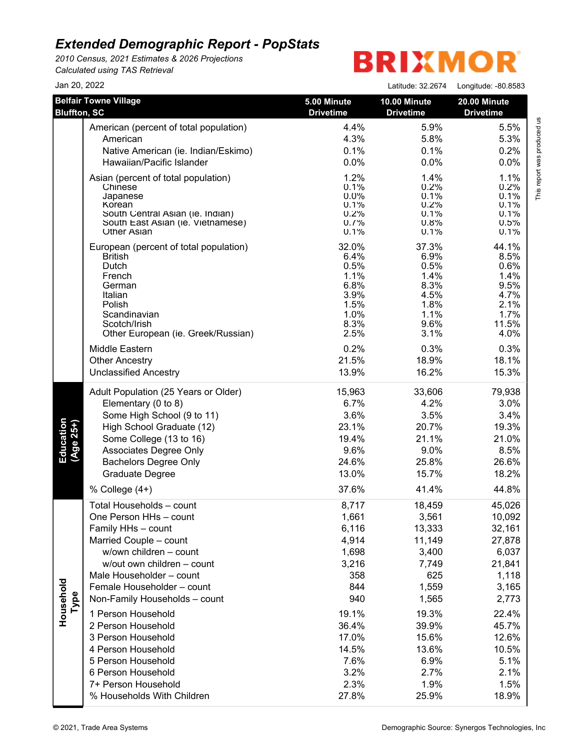*2010 Census, 2021 Estimates & 2026 Projections Calculated using TAS Retrieval*

# **BRIXMOR®**

| Jan 20, 2022           |                                                                                                                                                                                                                                                                                                                                                                                                                                                |                                                                                                                                              | Latitude: 32.2674                                                                                                                                   | Longitude: -80.8583                                                                                                                                     |
|------------------------|------------------------------------------------------------------------------------------------------------------------------------------------------------------------------------------------------------------------------------------------------------------------------------------------------------------------------------------------------------------------------------------------------------------------------------------------|----------------------------------------------------------------------------------------------------------------------------------------------|-----------------------------------------------------------------------------------------------------------------------------------------------------|---------------------------------------------------------------------------------------------------------------------------------------------------------|
| <b>Bluffton, SC</b>    | <b>Belfair Towne Village</b>                                                                                                                                                                                                                                                                                                                                                                                                                   | 5.00 Minute<br><b>Drivetime</b>                                                                                                              | 10.00 Minute<br><b>Drivetime</b>                                                                                                                    | 20.00 Minute<br><b>Drivetime</b>                                                                                                                        |
|                        | American (percent of total population)                                                                                                                                                                                                                                                                                                                                                                                                         | 4.4%                                                                                                                                         | 5.9%                                                                                                                                                | 5.5%                                                                                                                                                    |
|                        | American                                                                                                                                                                                                                                                                                                                                                                                                                                       | 4.3%                                                                                                                                         | 5.8%                                                                                                                                                | 5.3%                                                                                                                                                    |
|                        | Native American (ie. Indian/Eskimo)                                                                                                                                                                                                                                                                                                                                                                                                            | 0.1%                                                                                                                                         | 0.1%                                                                                                                                                | 0.2%                                                                                                                                                    |
|                        | Hawaiian/Pacific Islander                                                                                                                                                                                                                                                                                                                                                                                                                      | 0.0%                                                                                                                                         | 0.0%                                                                                                                                                | 0.0%                                                                                                                                                    |
|                        | Asian (percent of total population)                                                                                                                                                                                                                                                                                                                                                                                                            | 1.2%                                                                                                                                         | 1.4%                                                                                                                                                | 1.1%                                                                                                                                                    |
|                        | Chinese                                                                                                                                                                                                                                                                                                                                                                                                                                        | 0.1%                                                                                                                                         | 0.2%                                                                                                                                                | 0.2%                                                                                                                                                    |
|                        | Japanese                                                                                                                                                                                                                                                                                                                                                                                                                                       | $0.0\%$                                                                                                                                      | 0.1%                                                                                                                                                | 0.1%                                                                                                                                                    |
|                        | Korean                                                                                                                                                                                                                                                                                                                                                                                                                                         | 0.1%                                                                                                                                         | 0.2%                                                                                                                                                | 0.1%                                                                                                                                                    |
|                        | South Central Asian (ie. Indian)                                                                                                                                                                                                                                                                                                                                                                                                               | 0.2%                                                                                                                                         | 0.1%                                                                                                                                                | 0.1%                                                                                                                                                    |
|                        | South East Asian (ie. Vietnamese)                                                                                                                                                                                                                                                                                                                                                                                                              | 0.7%                                                                                                                                         | 0.8%                                                                                                                                                | 0.5%                                                                                                                                                    |
|                        | <b>Other Asian</b>                                                                                                                                                                                                                                                                                                                                                                                                                             | 0.1%                                                                                                                                         | 0.1%                                                                                                                                                | 0.1%                                                                                                                                                    |
|                        | European (percent of total population)                                                                                                                                                                                                                                                                                                                                                                                                         | 32.0%                                                                                                                                        | 37.3%                                                                                                                                               | 44.1%                                                                                                                                                   |
|                        | <b>British</b>                                                                                                                                                                                                                                                                                                                                                                                                                                 | 6.4%                                                                                                                                         | 6.9%                                                                                                                                                | 8.5%                                                                                                                                                    |
|                        | Dutch                                                                                                                                                                                                                                                                                                                                                                                                                                          | 0.5%                                                                                                                                         | 0.5%                                                                                                                                                | 0.6%                                                                                                                                                    |
|                        | French                                                                                                                                                                                                                                                                                                                                                                                                                                         | 1.1%                                                                                                                                         | 1.4%                                                                                                                                                | 1.4%                                                                                                                                                    |
|                        | German                                                                                                                                                                                                                                                                                                                                                                                                                                         | 6.8%                                                                                                                                         | 8.3%                                                                                                                                                | 9.5%                                                                                                                                                    |
|                        | Italian                                                                                                                                                                                                                                                                                                                                                                                                                                        | 3.9%                                                                                                                                         | 4.5%                                                                                                                                                | 4.7%                                                                                                                                                    |
|                        | Polish                                                                                                                                                                                                                                                                                                                                                                                                                                         | 1.5%                                                                                                                                         | 1.8%                                                                                                                                                | 2.1%                                                                                                                                                    |
|                        | Scandinavian                                                                                                                                                                                                                                                                                                                                                                                                                                   | 1.0%                                                                                                                                         | 1.1%                                                                                                                                                | 1.7%                                                                                                                                                    |
|                        | Scotch/Irish                                                                                                                                                                                                                                                                                                                                                                                                                                   | 8.3%                                                                                                                                         | 9.6%                                                                                                                                                | 11.5%                                                                                                                                                   |
|                        | Other European (ie. Greek/Russian)                                                                                                                                                                                                                                                                                                                                                                                                             | 2.5%                                                                                                                                         | 3.1%                                                                                                                                                | 4.0%                                                                                                                                                    |
|                        | Middle Eastern                                                                                                                                                                                                                                                                                                                                                                                                                                 | 0.2%                                                                                                                                         | 0.3%                                                                                                                                                | 0.3%                                                                                                                                                    |
|                        | <b>Other Ancestry</b>                                                                                                                                                                                                                                                                                                                                                                                                                          | 21.5%                                                                                                                                        | 18.9%                                                                                                                                               | 18.1%                                                                                                                                                   |
|                        | <b>Unclassified Ancestry</b>                                                                                                                                                                                                                                                                                                                                                                                                                   | 13.9%                                                                                                                                        | 16.2%                                                                                                                                               | 15.3%                                                                                                                                                   |
| Education<br>(Age 25+) | Adult Population (25 Years or Older)                                                                                                                                                                                                                                                                                                                                                                                                           | 15,963                                                                                                                                       | 33,606                                                                                                                                              | 79,938                                                                                                                                                  |
|                        | Elementary (0 to 8)                                                                                                                                                                                                                                                                                                                                                                                                                            | 6.7%                                                                                                                                         | 4.2%                                                                                                                                                | 3.0%                                                                                                                                                    |
|                        | Some High School (9 to 11)                                                                                                                                                                                                                                                                                                                                                                                                                     | 3.6%                                                                                                                                         | 3.5%                                                                                                                                                | 3.4%                                                                                                                                                    |
|                        | High School Graduate (12)                                                                                                                                                                                                                                                                                                                                                                                                                      | 23.1%                                                                                                                                        | 20.7%                                                                                                                                               | 19.3%                                                                                                                                                   |
|                        | Some College (13 to 16)                                                                                                                                                                                                                                                                                                                                                                                                                        | 19.4%                                                                                                                                        | 21.1%                                                                                                                                               | 21.0%                                                                                                                                                   |
|                        | Associates Degree Only                                                                                                                                                                                                                                                                                                                                                                                                                         | 9.6%                                                                                                                                         | 9.0%                                                                                                                                                | 8.5%                                                                                                                                                    |
|                        | <b>Bachelors Degree Only</b>                                                                                                                                                                                                                                                                                                                                                                                                                   | 24.6%                                                                                                                                        | 25.8%                                                                                                                                               | 26.6%                                                                                                                                                   |
|                        | Graduate Degree                                                                                                                                                                                                                                                                                                                                                                                                                                | 13.0%                                                                                                                                        | 15.7%                                                                                                                                               | 18.2%                                                                                                                                                   |
|                        | % College (4+)                                                                                                                                                                                                                                                                                                                                                                                                                                 | 37.6%                                                                                                                                        | 41.4%                                                                                                                                               | 44.8%                                                                                                                                                   |
| Household<br>Type      | Total Households - count<br>One Person HHs - count<br>Family HHs - count<br>Married Couple - count<br>w/own children - count<br>w/out own children - count<br>Male Householder - count<br>Female Householder - count<br>Non-Family Households - count<br>1 Person Household<br>2 Person Household<br>3 Person Household<br>4 Person Household<br>5 Person Household<br>6 Person Household<br>7+ Person Household<br>% Households With Children | 8,717<br>1,661<br>6,116<br>4,914<br>1,698<br>3,216<br>358<br>844<br>940<br>19.1%<br>36.4%<br>17.0%<br>14.5%<br>7.6%<br>3.2%<br>2.3%<br>27.8% | 18,459<br>3,561<br>13,333<br>11,149<br>3,400<br>7,749<br>625<br>1,559<br>1,565<br>19.3%<br>39.9%<br>15.6%<br>13.6%<br>6.9%<br>2.7%<br>1.9%<br>25.9% | 45,026<br>10,092<br>32,161<br>27,878<br>6,037<br>21,841<br>1,118<br>3,165<br>2,773<br>22.4%<br>45.7%<br>12.6%<br>10.5%<br>5.1%<br>2.1%<br>1.5%<br>18.9% |

This report was produced us<br>T This report was produced us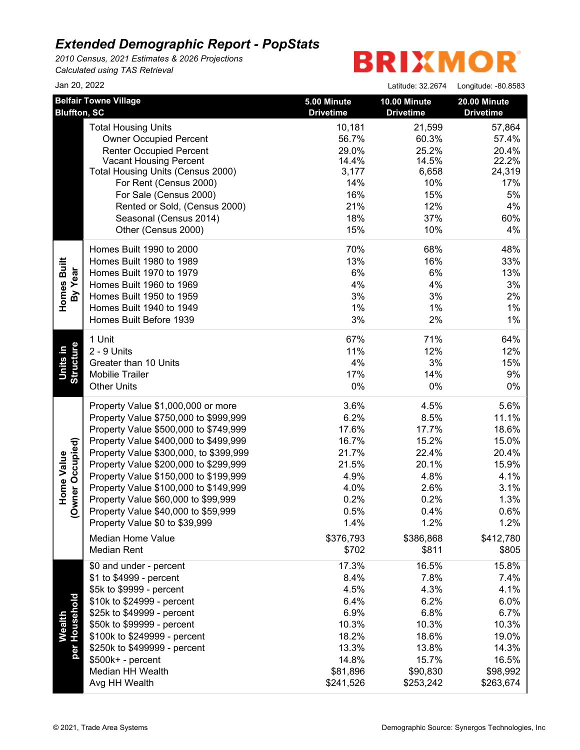*2010 Census, 2021 Estimates & 2026 Projections Calculated using TAS Retrieval*

| Jan 20, 2022                 |                                        |                  | Latitude: 32.2674 | Longitude: -80.8583 |
|------------------------------|----------------------------------------|------------------|-------------------|---------------------|
|                              | <b>Belfair Towne Village</b>           | 5.00 Minute      | 10.00 Minute      | 20.00 Minute        |
| <b>Bluffton, SC</b>          |                                        | <b>Drivetime</b> | <b>Drivetime</b>  | <b>Drivetime</b>    |
|                              | <b>Total Housing Units</b>             | 10,181           | 21,599            | 57,864              |
|                              | <b>Owner Occupied Percent</b>          | 56.7%            | 60.3%             | 57.4%               |
|                              | <b>Renter Occupied Percent</b>         | 29.0%            | 25.2%             | 20.4%               |
|                              | <b>Vacant Housing Percent</b>          | 14.4%            | 14.5%             | 22.2%               |
|                              | Total Housing Units (Census 2000)      | 3,177            | 6,658             | 24,319              |
|                              | For Rent (Census 2000)                 | 14%              | 10%               | 17%                 |
|                              | For Sale (Census 2000)                 | 16%              | 15%               | 5%                  |
|                              | Rented or Sold, (Census 2000)          | 21%              | 12%               | 4%                  |
|                              | Seasonal (Census 2014)                 | 18%              | 37%               | 60%                 |
|                              | Other (Census 2000)                    | 15%              | 10%               | 4%                  |
|                              | Homes Built 1990 to 2000               | 70%              | 68%               | 48%                 |
|                              | Homes Built 1980 to 1989               | 13%              | 16%               | 33%                 |
| Homes Built<br>By Year       | Homes Built 1970 to 1979               | 6%               | 6%                | 13%                 |
|                              | Homes Built 1960 to 1969               | 4%               | 4%                | 3%                  |
|                              | Homes Built 1950 to 1959               | 3%               | 3%                | 2%                  |
|                              | Homes Built 1940 to 1949               | 1%               | $1\%$             | 1%                  |
|                              | Homes Built Before 1939                | 3%               | 2%                | 1%                  |
|                              | 1 Unit                                 | 67%              | 71%               | 64%                 |
| <b>Structure</b><br>Units in | 2 - 9 Units                            | 11%              | 12%               | 12%                 |
|                              | Greater than 10 Units                  | 4%               | 3%                | 15%                 |
|                              | <b>Mobilie Trailer</b>                 | 17%              | 14%               | 9%                  |
|                              | <b>Other Units</b>                     | $0\%$            | 0%                | $0\%$               |
|                              | Property Value \$1,000,000 or more     | 3.6%             | 4.5%              | 5.6%                |
|                              | Property Value \$750,000 to \$999,999  | 6.2%             | 8.5%              | 11.1%               |
|                              | Property Value \$500,000 to \$749,999  | 17.6%            | 17.7%             | 18.6%               |
| wner Occupied)               | Property Value \$400,000 to \$499,999  | 16.7%            | 15.2%             | 15.0%               |
|                              | Property Value \$300,000, to \$399,999 | 21.7%            | 22.4%             | 20.4%               |
|                              | Property Value \$200,000 to \$299,999  | 21.5%            | 20.1%             | 15.9%               |
| <b>Home Value</b>            | Property Value \$150,000 to \$199,999  | 4.9%             | 4.8%              | 4.1%                |
|                              | Property Value \$100,000 to \$149,999  | 4.0%             | 2.6%              | 3.1%                |
|                              | Property Value \$60,000 to \$99,999    | 0.2%             | 0.2%              | 1.3%                |
| Q                            | Property Value \$40,000 to \$59,999    | 0.5%             | 0.4%              | 0.6%                |
|                              | Property Value \$0 to \$39,999         | 1.4%             | 1.2%              | 1.2%                |
|                              | Median Home Value                      | \$376,793        | \$386,868         | \$412,780           |
|                              | <b>Median Rent</b>                     | \$702            | \$811             | \$805               |
|                              | \$0 and under - percent                | 17.3%            | 16.5%             | 15.8%               |
|                              | \$1 to \$4999 - percent                | 8.4%             | 7.8%              | 7.4%                |
|                              | \$5k to \$9999 - percent               | 4.5%             | 4.3%              | 4.1%                |
|                              | \$10k to \$24999 - percent             | 6.4%             | 6.2%              | 6.0%                |
|                              | \$25k to \$49999 - percent             | 6.9%             | 6.8%              | 6.7%                |
| Wealth                       | \$50k to \$99999 - percent             | 10.3%            | 10.3%             | 10.3%               |
|                              | \$100k to \$249999 - percent           | 18.2%            | 18.6%             | 19.0%               |
| per Household                | \$250k to \$499999 - percent           | 13.3%            | 13.8%             | 14.3%               |
|                              | \$500k+ - percent                      | 14.8%            | 15.7%             | 16.5%               |
|                              | Median HH Wealth                       | \$81,896         | \$90,830          | \$98,992            |
|                              | Avg HH Wealth                          | \$241,526        | \$253,242         | \$263,674           |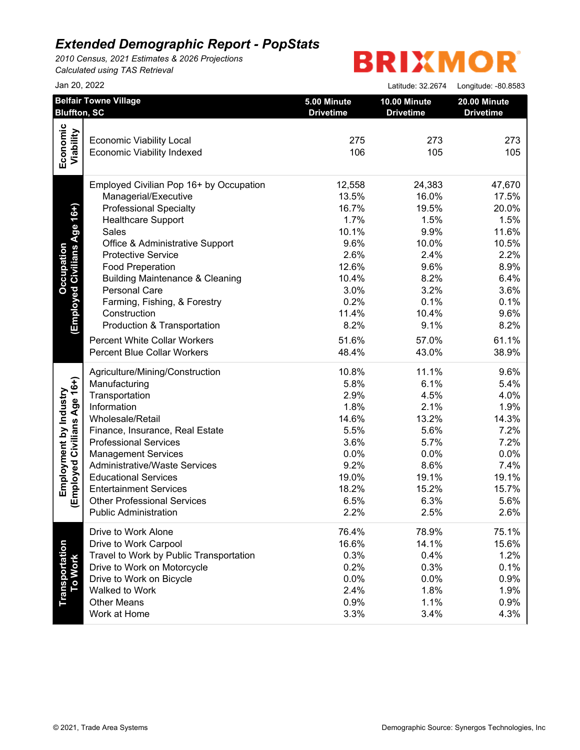*2010 Census, 2021 Estimates & 2026 Projections Calculated using TAS Retrieval*

| Jan 20, 2022                                        |                                                                                                                                                                                                                                                                                                                                                                                                                                                                                                                                                                                                                                                                           | Latitude: 32.2674                                                                                                                                 | Longitude: - 80.8583                                                                                                                              |
|-----------------------------------------------------|---------------------------------------------------------------------------------------------------------------------------------------------------------------------------------------------------------------------------------------------------------------------------------------------------------------------------------------------------------------------------------------------------------------------------------------------------------------------------------------------------------------------------------------------------------------------------------------------------------------------------------------------------------------------------|---------------------------------------------------------------------------------------------------------------------------------------------------|---------------------------------------------------------------------------------------------------------------------------------------------------|
| <b>Belfair Towne Village</b><br><b>Bluffton, SC</b> | 5.00 Minute<br><b>Drivetime</b>                                                                                                                                                                                                                                                                                                                                                                                                                                                                                                                                                                                                                                           | 10.00 Minute<br><b>Drivetime</b>                                                                                                                  | 20.00 Minute<br><b>Drivetime</b>                                                                                                                  |
|                                                     |                                                                                                                                                                                                                                                                                                                                                                                                                                                                                                                                                                                                                                                                           |                                                                                                                                                   |                                                                                                                                                   |
|                                                     |                                                                                                                                                                                                                                                                                                                                                                                                                                                                                                                                                                                                                                                                           |                                                                                                                                                   | 273                                                                                                                                               |
| <b>Economic Viability Indexed</b>                   | 106                                                                                                                                                                                                                                                                                                                                                                                                                                                                                                                                                                                                                                                                       | 105                                                                                                                                               | 105                                                                                                                                               |
| Employed Civilian Pop 16+ by Occupation             | 12,558                                                                                                                                                                                                                                                                                                                                                                                                                                                                                                                                                                                                                                                                    | 24,383                                                                                                                                            | 47,670                                                                                                                                            |
| Managerial/Executive                                | 13.5%                                                                                                                                                                                                                                                                                                                                                                                                                                                                                                                                                                                                                                                                     | 16.0%                                                                                                                                             | 17.5%                                                                                                                                             |
| <b>Professional Specialty</b>                       | 16.7%                                                                                                                                                                                                                                                                                                                                                                                                                                                                                                                                                                                                                                                                     | 19.5%                                                                                                                                             | 20.0%                                                                                                                                             |
| <b>Healthcare Support</b>                           | 1.7%                                                                                                                                                                                                                                                                                                                                                                                                                                                                                                                                                                                                                                                                      | 1.5%                                                                                                                                              | 1.5%                                                                                                                                              |
| Sales                                               | 10.1%                                                                                                                                                                                                                                                                                                                                                                                                                                                                                                                                                                                                                                                                     | 9.9%                                                                                                                                              | 11.6%                                                                                                                                             |
| Office & Administrative Support                     | 9.6%                                                                                                                                                                                                                                                                                                                                                                                                                                                                                                                                                                                                                                                                      | 10.0%                                                                                                                                             | 10.5%                                                                                                                                             |
| <b>Protective Service</b>                           | 2.6%                                                                                                                                                                                                                                                                                                                                                                                                                                                                                                                                                                                                                                                                      | 2.4%                                                                                                                                              | 2.2%                                                                                                                                              |
|                                                     | 12.6%                                                                                                                                                                                                                                                                                                                                                                                                                                                                                                                                                                                                                                                                     | 9.6%                                                                                                                                              | 8.9%                                                                                                                                              |
|                                                     | 10.4%                                                                                                                                                                                                                                                                                                                                                                                                                                                                                                                                                                                                                                                                     | 8.2%                                                                                                                                              | 6.4%                                                                                                                                              |
|                                                     | 3.0%                                                                                                                                                                                                                                                                                                                                                                                                                                                                                                                                                                                                                                                                      |                                                                                                                                                   | 3.6%                                                                                                                                              |
|                                                     |                                                                                                                                                                                                                                                                                                                                                                                                                                                                                                                                                                                                                                                                           | 0.1%                                                                                                                                              | 0.1%                                                                                                                                              |
|                                                     |                                                                                                                                                                                                                                                                                                                                                                                                                                                                                                                                                                                                                                                                           |                                                                                                                                                   | 9.6%                                                                                                                                              |
| Production & Transportation                         | 8.2%                                                                                                                                                                                                                                                                                                                                                                                                                                                                                                                                                                                                                                                                      | 9.1%                                                                                                                                              | 8.2%                                                                                                                                              |
|                                                     |                                                                                                                                                                                                                                                                                                                                                                                                                                                                                                                                                                                                                                                                           |                                                                                                                                                   | 61.1%                                                                                                                                             |
| <b>Percent Blue Collar Workers</b>                  | 48.4%                                                                                                                                                                                                                                                                                                                                                                                                                                                                                                                                                                                                                                                                     | 43.0%                                                                                                                                             | 38.9%                                                                                                                                             |
|                                                     | 10.8%                                                                                                                                                                                                                                                                                                                                                                                                                                                                                                                                                                                                                                                                     | 11.1%                                                                                                                                             | 9.6%                                                                                                                                              |
| Manufacturing                                       | 5.8%                                                                                                                                                                                                                                                                                                                                                                                                                                                                                                                                                                                                                                                                      | 6.1%                                                                                                                                              | 5.4%                                                                                                                                              |
| Transportation                                      | 2.9%                                                                                                                                                                                                                                                                                                                                                                                                                                                                                                                                                                                                                                                                      | 4.5%                                                                                                                                              | 4.0%                                                                                                                                              |
| Information                                         | 1.8%                                                                                                                                                                                                                                                                                                                                                                                                                                                                                                                                                                                                                                                                      | 2.1%                                                                                                                                              | 1.9%                                                                                                                                              |
| Wholesale/Retail                                    | 14.6%                                                                                                                                                                                                                                                                                                                                                                                                                                                                                                                                                                                                                                                                     | 13.2%                                                                                                                                             | 14.3%                                                                                                                                             |
|                                                     |                                                                                                                                                                                                                                                                                                                                                                                                                                                                                                                                                                                                                                                                           |                                                                                                                                                   | 7.2%                                                                                                                                              |
|                                                     |                                                                                                                                                                                                                                                                                                                                                                                                                                                                                                                                                                                                                                                                           |                                                                                                                                                   | 7.2%                                                                                                                                              |
|                                                     |                                                                                                                                                                                                                                                                                                                                                                                                                                                                                                                                                                                                                                                                           |                                                                                                                                                   | 0.0%                                                                                                                                              |
|                                                     |                                                                                                                                                                                                                                                                                                                                                                                                                                                                                                                                                                                                                                                                           |                                                                                                                                                   | 7.4%                                                                                                                                              |
|                                                     |                                                                                                                                                                                                                                                                                                                                                                                                                                                                                                                                                                                                                                                                           |                                                                                                                                                   | 19.1%                                                                                                                                             |
|                                                     |                                                                                                                                                                                                                                                                                                                                                                                                                                                                                                                                                                                                                                                                           |                                                                                                                                                   | 15.7%                                                                                                                                             |
|                                                     |                                                                                                                                                                                                                                                                                                                                                                                                                                                                                                                                                                                                                                                                           |                                                                                                                                                   | 5.6%                                                                                                                                              |
| <b>Public Administration</b>                        | 2.2%                                                                                                                                                                                                                                                                                                                                                                                                                                                                                                                                                                                                                                                                      | 2.5%                                                                                                                                              | 2.6%                                                                                                                                              |
| Drive to Work Alone                                 |                                                                                                                                                                                                                                                                                                                                                                                                                                                                                                                                                                                                                                                                           |                                                                                                                                                   | 75.1%                                                                                                                                             |
|                                                     |                                                                                                                                                                                                                                                                                                                                                                                                                                                                                                                                                                                                                                                                           |                                                                                                                                                   | 15.6%                                                                                                                                             |
|                                                     |                                                                                                                                                                                                                                                                                                                                                                                                                                                                                                                                                                                                                                                                           |                                                                                                                                                   | 1.2%                                                                                                                                              |
|                                                     |                                                                                                                                                                                                                                                                                                                                                                                                                                                                                                                                                                                                                                                                           |                                                                                                                                                   | 0.1%                                                                                                                                              |
|                                                     |                                                                                                                                                                                                                                                                                                                                                                                                                                                                                                                                                                                                                                                                           |                                                                                                                                                   | 0.9%                                                                                                                                              |
|                                                     |                                                                                                                                                                                                                                                                                                                                                                                                                                                                                                                                                                                                                                                                           |                                                                                                                                                   | 1.9%                                                                                                                                              |
|                                                     |                                                                                                                                                                                                                                                                                                                                                                                                                                                                                                                                                                                                                                                                           |                                                                                                                                                   | 0.9%                                                                                                                                              |
| Work at Home                                        | 3.3%                                                                                                                                                                                                                                                                                                                                                                                                                                                                                                                                                                                                                                                                      | 3.4%                                                                                                                                              | 4.3%                                                                                                                                              |
|                                                     | <b>Economic Viability Local</b><br><b>Food Preperation</b><br><b>Building Maintenance &amp; Cleaning</b><br>Personal Care<br>Farming, Fishing, & Forestry<br>Construction<br><b>Percent White Collar Workers</b><br>Agriculture/Mining/Construction<br>Finance, Insurance, Real Estate<br><b>Professional Services</b><br><b>Management Services</b><br><b>Administrative/Waste Services</b><br><b>Educational Services</b><br><b>Entertainment Services</b><br><b>Other Professional Services</b><br>Drive to Work Carpool<br>Travel to Work by Public Transportation<br>Drive to Work on Motorcycle<br>Drive to Work on Bicycle<br>Walked to Work<br><b>Other Means</b> | 275<br>0.2%<br>11.4%<br>51.6%<br>5.5%<br>3.6%<br>0.0%<br>9.2%<br>19.0%<br>18.2%<br>6.5%<br>76.4%<br>16.6%<br>0.3%<br>0.2%<br>0.0%<br>2.4%<br>0.9% | 273<br>3.2%<br>10.4%<br>57.0%<br>5.6%<br>5.7%<br>0.0%<br>8.6%<br>19.1%<br>15.2%<br>6.3%<br>78.9%<br>14.1%<br>0.4%<br>0.3%<br>0.0%<br>1.8%<br>1.1% |